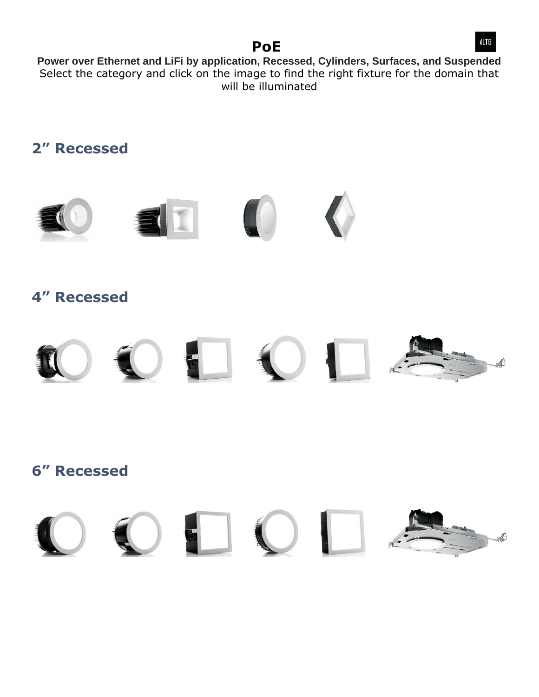### **PoE**

**Power over Ethernet and LiFi by application, Recessed, Cylinders, Surfaces, and Suspended** Select the category and click on the image to find the right fixture for the domain that will be illuminated



ak)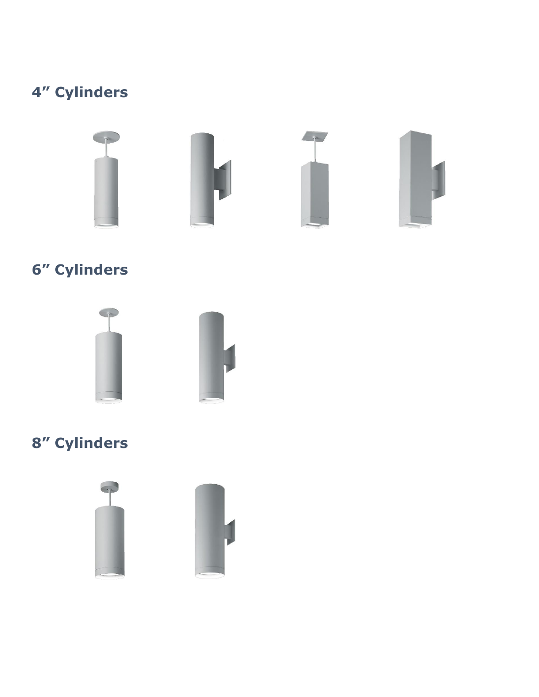# **4" Cylinders**



# **6" Cylinders**





## **8" Cylinders**



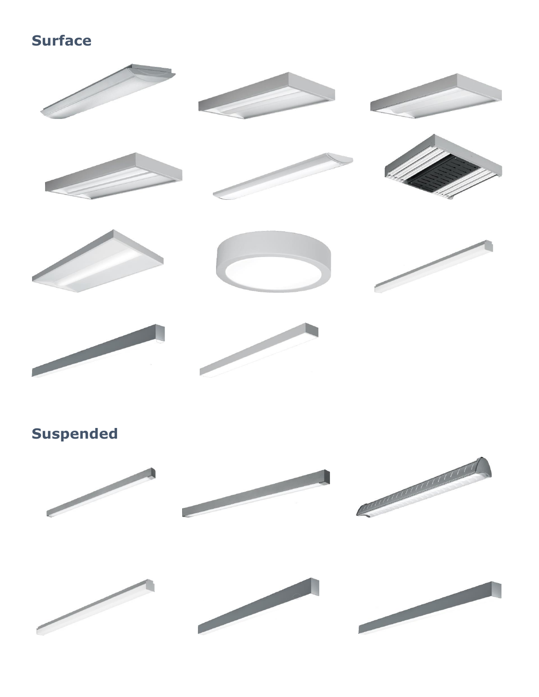## **Surface**







# **Suspended**

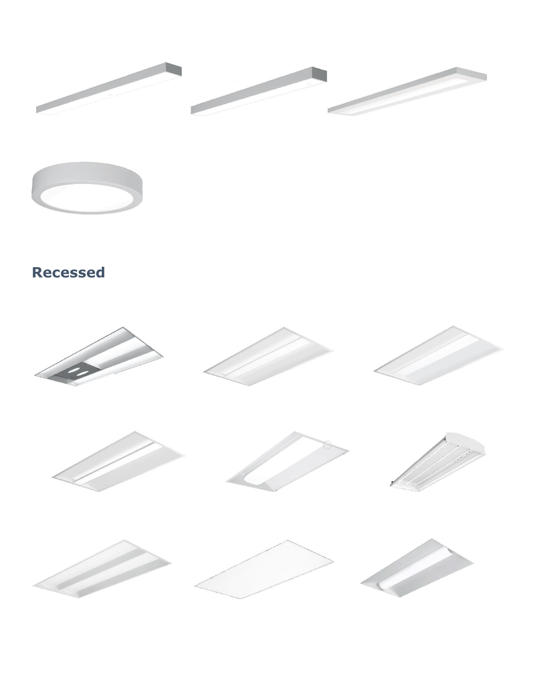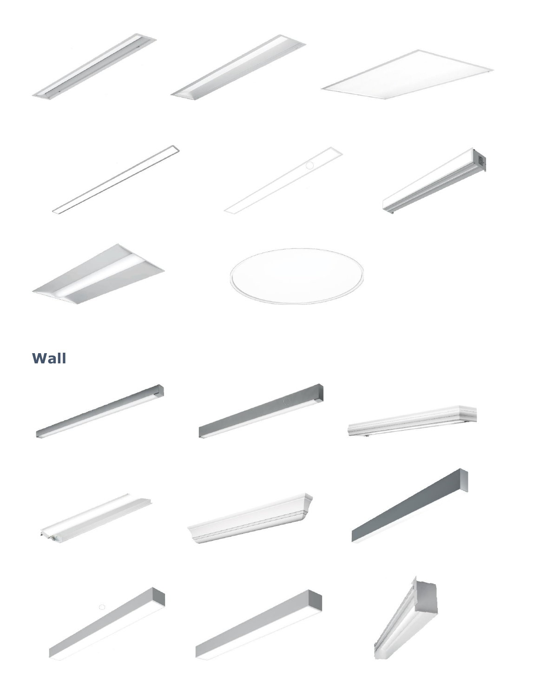











**Wall**

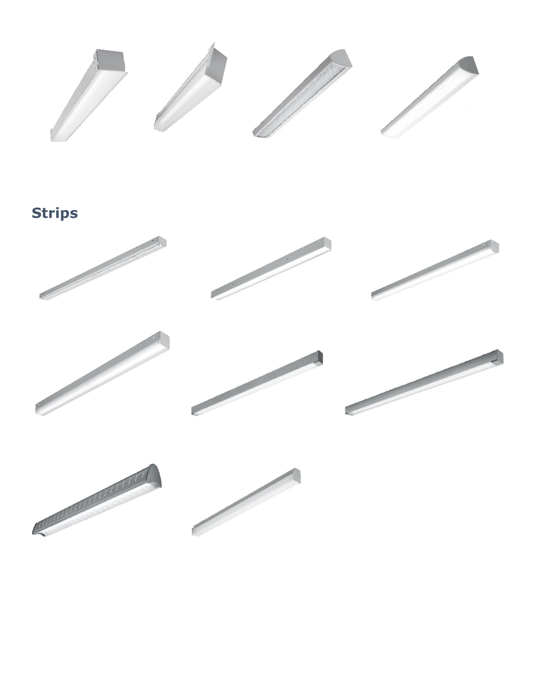

**Strips**

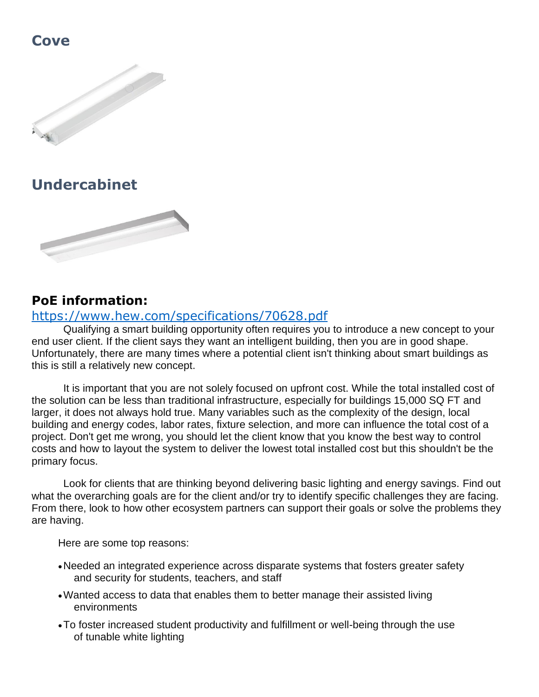### **Cove**



### **Undercabinet**



#### **PoE information:**

#### <https://www.hew.com/specifications/70628.pdf>

Qualifying a smart building opportunity often requires you to introduce a new concept to your end user client. If the client says they want an intelligent building, then you are in good shape. Unfortunately, there are many times where a potential client isn't thinking about smart buildings as this is still a relatively new concept.

It is important that you are not solely focused on upfront cost. While the total installed cost of the solution can be less than traditional infrastructure, especially for buildings 15,000 SQ FT and larger, it does not always hold true. Many variables such as the complexity of the design, local building and energy codes, labor rates, fixture selection, and more can influence the total cost of a project. Don't get me wrong, you should let the client know that you know the best way to control costs and how to layout the system to deliver the lowest total installed cost but this shouldn't be the primary focus.

Look for clients that are thinking beyond delivering basic lighting and energy savings. Find out what the overarching goals are for the client and/or try to identify specific challenges they are facing. From there, look to how other ecosystem partners can support their goals or solve the problems they are having.

Here are some top reasons:

- •Needed an integrated experience across disparate systems that fosters greater safety and security for students, teachers, and staff
- •Wanted access to data that enables them to better manage their assisted living environments
- •To foster increased student productivity and fulfillment or well-being through the use of tunable white lighting